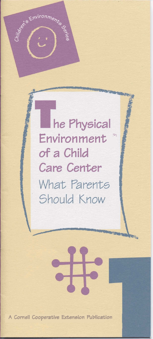he Physical Environment  $\Rightarrow$ of a Child **Care Center** What Parents Should Know

Werk Environments Co.

A Cornell Cooperative Extension Publication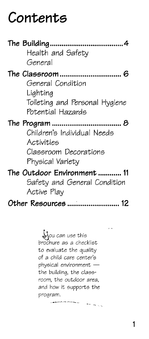# **Contents**

|                     | Health and Safety<br>General                                                           |
|---------------------|----------------------------------------------------------------------------------------|
|                     | General Condition<br>Lighting<br>Toileting and Personal Hygiene<br>Potential Hazards   |
|                     | Children's Individual Needs<br>Activities<br>Classroom Decorations<br>Physical Variety |
|                     | The Outdoor Environment 11<br>Safety and General Condition<br>Active Play              |
| Other Resources  12 |                                                                                        |

&ou can use this brochure as a checklist to evaluate the quality of a child care center's physical environment  $$ the building, the classroom, the outdoor area, and how it supports the program.

.\_\*\_-- -. --.\_ \_-. ') ,

. .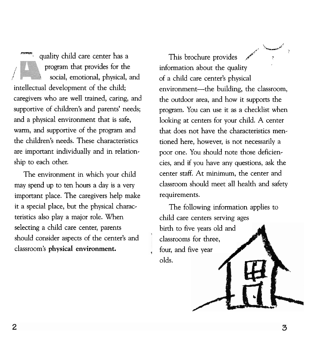quality child care center has a program that provides for the **1 <sup>I</sup>**social, emotional, physical, and intellectual development of the child; caregivers who are well trained, caring, and supportive of children's and parents' needs; and a physical environment that is safe, warm, and supportive of the program and the children's needs. These characteristics are important individually and in relationship to each other.

The environment in which your child may spend up to ten hours a day is a very important place. The caregivers help make it a special place, but the physical characteristics also play a major role. When selecting a child care center, parents should consider aspects of the center's and classroom's **physical environment.** 

s, in the company of the company of the company of the company of the company of the company of the company of the company of the company of the company of the company of the company of the company of the company of the co This brochure provides information about the quality of a child care center's physical environment-the building, the classroom, the outdoor area, and how it supports the program. You can use it as a checklist when looking at centers for your child. A center that does not have the characteristics mentioned here, however, is not necessarily a poor one. You should note those deficiencies, and if you have any questions, ask the center staff. At minimum, the center and classroom should meet all health and safety requirements.

**X** 

**E** 

The following information applies to child care centers serving ages birth to five years old and classrooms for three, four, and five year olds.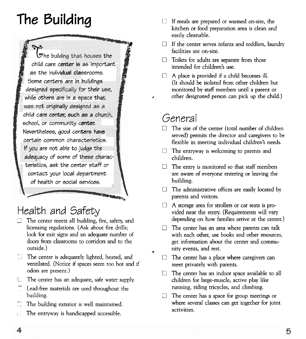**L** 

 $\mathcal{\overline{G}}$ he building that houses the child care c<mark>enter is</mark> as important as the individual classrooms. Some centers are in buildinae *I*  **e**  designed specifically for their use, designed specifically for their use,<br>while others are in a space that child care cente school, or community center. Nevertheless, good centers have certain common characteristics. If you are not able to judge the adequacy of some of these characteristics, ask the center staff or contact your local department **OF** health or social services. of *originally desig* 

- The center meets all building, fire, safety, and licensing regulations. (Ask about fire drills; outside.)
- $\Box$  The center is adequately lighted, heated, and  $\Box$  The center has a place where caregivers can ventilated. (Notice if spaces seem too hot and if meet privately with parents.<br>
odors are present.)
- 
- building.
- The building exterior is well maintained.
- $\Box$  The entryway is handicapped accessible.
- **The Building** II If meals are prepared or warmed on-site, the kitchen or food preparation area is clean and easily cleanable.
	- **Y** If the center serves infants and toddlers, laundry Example casily creatiable.<br>
	Example 2 and 5 facilities are on-site.<br>
	Fig.  $\overline{a}$  and  $\overline{b}$  and  $\overline{c}$  and  $\overline{d}$  and  $\overline{d}$  and  $\overline{d}$  and  $\overline{d}$  and  $\overline{d}$  and  $\overline{d}$  and  $\overline{d}$  and  $\overline{d}$  and  $\overline{$ 
		- $\Box$  Toilets for adults are separate from those intended for children's use.
		- A place is provided if a child becomes ill.  $\Box$ (It should be isolated from other children but monitored by staff members until a parent or **<sup>2</sup>**other designated person can pick up the child.)

#### General

**A-**

*B* 

**THE REAL PROPERTY AND** 

- The size of the center (total number of children served) permits the director and caregivers to be flexible in meeting individual children's needs.
- $\Box$  The entryway is welcoming to parents and children.
- $\Box$ The entry is monitored so that staff members are aware of everyone entering or leaving the building.
- The administrative offices are easily located by  $\Box$ parents and visitors.
- **A** storage area for strollers or car seats is pro-<br> **A** storage area for strollers or car seats is pro-<br>
vided near the entry. (Requirements will vary<br>
depending on how families arrive at the center.)
	- licensing regulations. (Ask about fire drills;  $\Box$  The center has an area where parents can talk look for exit signs and an adequate number of with each other, use books and other resources with each other, use books and other resources, doors from classrooms to corridors and to the get information about the center and community events, and rest.
		-
	- $\Box$  The center has an indoor space available to all The center has an adequate, safe water supply. children for large-muscle, active play like -- Lead-free materials are used throughout the running, riding tricycles, and climbing.
		- The center has a space for group meetings or  $\Box$ where several classes can get together for joint activities.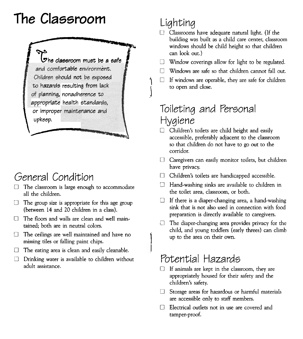# **The Classroom**



## General Condition

- The classroom is large enough to accommodate all the children.
- $\Box$  The group size is appropriate for this age group (between 14 and 20 children in a class).
- $\Box$  The floors and walls are clean and well maintained; both are in neutral colors.
- $\Box$ The ceilings are well maintained and have no missing tiles or falling paint chips.
- The eating area is clean and easily cleanable.  $\Box$
- $\Box$ Drinking water is available to children without adult assistance.

## Lighting

 $\mathbf{I}$ 

- $\Box$  Classrooms have adequate natural light. (If the building was built as a child care center, classroom windows should be child height so that children can look out.)
- Window coverings allow for light to be regulated.
- $\Box$  Windows are safe so that children cannot fall out.
- $\Box$  If windows are operable, they are safe for children to open and close.

### Toileting and Personal Hygiene

- Children's toilets are child height and easily accessible, preferably adjacent to the classroom so that children do not have to go out to the corridor.
- Caregivers can easily monitor toilets, but children have privacy.
- $\Box$ Children's toilets are handicapped accessible.
- Hand-washing sinks are available to children in  $\Box$ the toilet area, classroom, or both.
- If there is a diaper-changing area, a hand-washing sink that is not also used in connection with food preparation is directly available to caregivers.
- $\Box$ The diaper-changing area provides privacy for the child, and young toddlers (early threes) can climb up to the area on their own.

## Potential Hazards

- If animals are kept in the classroom, they are appropriately housed for their safety and the children's safety.
- $\Box$  Storage areas for hazardous or harmful materials are accessible only to staff members.
- Electrical outlets not in use are covered and tamper-proof.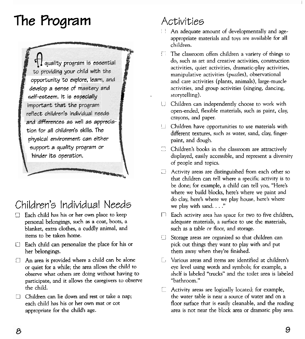# The Program



### Children's Individual Needs

- Each child has his or her own place to keep personal belongings, such as a coat, boots, a blanket, extra clothes, a cuddly animal, and items to be taken home.
- $\Box$  Each child can personalize the place for his or her belongings.
- An area is provided where a child can be alone  $\Box$ or quiet for a while; the area allows the child to observe what others are doing without having to participate, and it allows the caregivers to observe the child.
- Children can lie down and rest or take a nap; n each child has his or her own mat or cot appropriate for the child's age.

## Activities

- An adequate amount of developmentally and ageappropriate materials and toys are available for all children.
- m The classroom offers children a variety of things to do, such as art and creative activities, construction activities, quiet activities, dramatic-play activities, manipulative activities (puzzles), observational and care activities (plants, animals), large-muscle activities, and group activities (singing, dancing, storytelling).
- Children can independently choose to work with  $\mathbb{E} \mathbb{E}$ open-ended, flexible materials, such as paint, clay, crayons, and paper.
- Children have opportunities to use materials with U. different textures, such as water, sand, clay, fingerpaint, and dough.
- Children's books in the classroom are attractively displayed, easily accessible, and represent a diversity of people and topics.
- Activity areas are distinguished from each other so that children can tell where a specific activity is to be done; for example, a child can tell you, "Here's where we build blocks, here's where we paint and do clay, here's where we play house, here's where we play with sand. . . ."
- Each activity area has space for two to five children, adequate materials, a surface to use the materials, such as a table or floor, and storage.
- Storage areas are organized so that children can Ð. pick out things they want to play with and put them away when they're finished.
- Various areas and items are identified at children's Г. eye level using words and symbols; for example, a shelf is labeled "trucks" and the toilet area is labeled "bathroom."
- Activity areas are logically located; for example, the water table is near a source of water and on a floor surface that is easily cleanable, and the reading area is not near the block area or dramatic play area.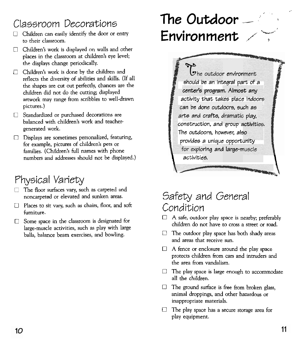## Classroom Decorations

- Children can easily identify the door or entry to their classroom.
- $\Box$  Children's work is displayed on walls and other places in the classroom at children's eye level; the displays change periodically.
- Children's work is done by the children and reflects the diversity of abilities and skills. (If all the shapes are cut out perfectly, chances are the children did not do the cutting; displayed artwork may range from scribbles to well-drawn pictures.)
- Standardized or purchased decorations are balanced with children's work and teachergenerated work.
- Displays are sometimes personalized, featuring, for example, pictures of children's pets or families. (Children's full names with phone numbers and addresses should not be displayed.)

## Physical Variety

- The floor surfaces vary, such as carpeted and noncarpeted or elevated and sunken areas.
- Places to sit vary, such as chairs, floor, and soft furniture.
- C! Some space in the classroom is designated for large-muscle activities, such as play with large balls, balance beam exercises, and bowling.

# **The Outdoor** ...  $E$ nvironment

The outdoor environment .. - **~-1** - **snoula we an rnwgral pan** or **a**  center's program. Almost any - **acclvlty that takes place Indoors**  an be done outdoors, such as **cts and crafts, <sup>L</sup>** : **play,**  construction, and group activities. The outdoors, however, also provides a unique opportunity **i**ring and large-mi activities. activities.

### Safety and General Condition

- $\Box$  A safe, outdoor play space is nearby; preferably children do not have to cross a street or road.
- I3 The outdoor play space has both shady areas and areas that receive sun.
- $\Box$  A fence or enclosure around the play space protects children from cars and intruders and the area from vandalism.
- $\Box$  The play space is large enough to accommodate all the children.
- $\Box$ The ground surface is free from broken glass, animal droppings, and other hazardous or inappropriate materials.
- The play space has a secure storage area for play equipment.

>,

**I.**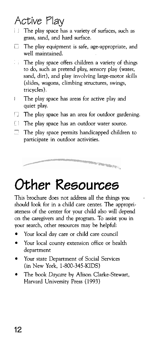## Active Play

- 1 1 The play space has a variety of surfaces, such as grass, sand, and hard surface.
- $\Box$  The play equipment is safe, age-appropriate, and well maintained.
- The play space offers children a variety of things ÷, to do, such as pretend play, sensory play (water, sand, dirt), and play involving large-motor skills (slides, wagons, climbing structures, swings, tricycles).
- I The play space has areas for active play and quiet play.
- The play space has an area for outdoor gardening.
- $\Box$  The play space has an outdoor water source.<br> $\Box$  The play space permits handicapped childrer
- The play space permits handicapped children to participate in outdoor activities.



# Other **Resources**

This brochure does not address all the things you . should look for in a child care center. The appropriateness of the center for your child also will depend on the caregivers and the program. To assist you in your search, other resources may be helpful:

- Your local day care or child care council
- Your local county extension office or health  $\bullet$ department
- Your state Department of Social Services (in New York, 1-800-345-KIDS)
- The book Daycare by Alison Clarke-Stewart, Harvard University Press ( 1993)